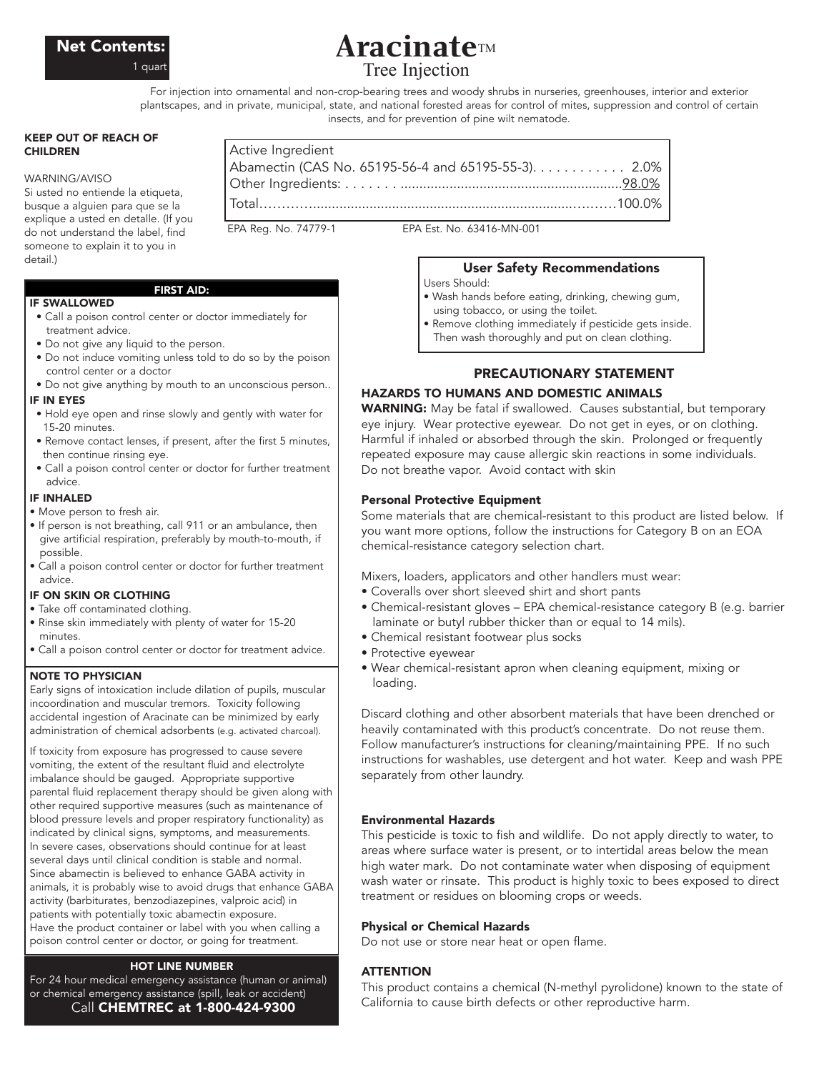

# **Aracinate**TM Tree Injection

For injection into ornamental and non-crop-bearing trees and woody shrubs in nurseries, greenhouses, interior and exterior plantscapes, and in private, municipal, state, and national forested areas for control of mites, suppression and control of certain insects, and for prevention of pine wilt nematode.

#### KEEP OUT OF REACH OF **CHILDREN**

#### WARNING/AVISO

IF SWALLOWED

Si usted no entiende la etiqueta, busque a alguien para que se la explique a usted en detalle. (If you do not understand the label, find someone to explain it to you in detail.)

## FIRST AID:

- Call a poison control center or doctor immediately for treatment advice.
- Do not give any liquid to the person.
- Do not induce vomiting unless told to do so by the poison control center or a doctor
- Do not give anything by mouth to an unconscious person..

#### IF IN EYES

- Hold eye open and rinse slowly and gently with water for 15-20 minutes.
- Remove contact lenses, if present, after the first 5 minutes, then continue rinsing eye.
- Call a poison control center or doctor for further treatment advice.

## IF INHALED

- Move person to fresh air.
- If person is not breathing, call 911 or an ambulance, then give artificial respiration, preferably by mouth-to-mouth, if possible.
- Call a poison control center or doctor for further treatment advice.

## IF ON SKIN OR CLOTHING

- Take off contaminated clothing.
- Rinse skin immediately with plenty of water for 15-20 minutes.
- Call a poison control center or doctor for treatment advice.

## NOTE TO PHYSICIAN

Early signs of intoxication include dilation of pupils, muscular incoordination and muscular tremors. Toxicity following accidental ingestion of Aracinate can be minimized by early administration of chemical adsorbents (e.g. activated charcoal).

If toxicity from exposure has progressed to cause severe vomiting, the extent of the resultant fluid and electrolyte imbalance should be gauged. Appropriate supportive parental fluid replacement therapy should be given along with other required supportive measures (such as maintenance of blood pressure levels and proper respiratory functionality) as indicated by clinical signs, symptoms, and measurements. In severe cases, observations should continue for at least several days until clinical condition is stable and normal. Since abamectin is believed to enhance GABA activity in animals, it is probably wise to avoid drugs that enhance GABA activity (barbiturates, benzodiazepines, valproic acid) in patients with potentially toxic abamectin exposure. Have the product container or label with you when calling a poison control center or doctor, or going for treatment.

## HOT LINE NUMBER

For 24 hour medical emergency assistance (human or animal) or chemical emergency assistance (spill, leak or accident) Call CHEMTREC at 1-800-424-9300

| Active Ingredient                                   |  |
|-----------------------------------------------------|--|
| Abamectin (CAS No. 65195-56-4 and 65195-55-3). 2.0% |  |
|                                                     |  |
|                                                     |  |
|                                                     |  |

EPA Reg. No. 74779-1 EPA Est. No. 63416-MN-001

# User Safety Recommendations

- Users Should:
- Wash hands before eating, drinking, chewing gum, using tobacco, or using the toilet.
- Remove clothing immediately if pesticide gets inside. Then wash thoroughly and put on clean clothing.

# PRECAUTIONARY STATEMENT

## HAZARDS TO HUMANS AND DOMESTIC ANIMALS

WARNING: May be fatal if swallowed. Causes substantial, but temporary eye injury. Wear protective eyewear. Do not get in eyes, or on clothing. Harmful if inhaled or absorbed through the skin. Prolonged or frequently repeated exposure may cause allergic skin reactions in some individuals. Do not breathe vapor. Avoid contact with skin

## Personal Protective Equipment

Some materials that are chemical-resistant to this product are listed below. If you want more options, follow the instructions for Category B on an EOA chemical-resistance category selection chart.

Mixers, loaders, applicators and other handlers must wear:

- Coveralls over short sleeved shirt and short pants
- Chemical-resistant gloves EPA chemical-resistance category B (e.g. barrier laminate or butyl rubber thicker than or equal to 14 mils).
- Chemical resistant footwear plus socks
- Protective eyewear
- Wear chemical-resistant apron when cleaning equipment, mixing or loading.

Discard clothing and other absorbent materials that have been drenched or heavily contaminated with this product's concentrate. Do not reuse them. Follow manufacturer's instructions for cleaning/maintaining PPE. If no such instructions for washables, use detergent and hot water. Keep and wash PPE separately from other laundry.

## Environmental Hazards

This pesticide is toxic to fish and wildlife. Do not apply directly to water, to areas where surface water is present, or to intertidal areas below the mean high water mark. Do not contaminate water when disposing of equipment wash water or rinsate. This product is highly toxic to bees exposed to direct treatment or residues on blooming crops or weeds.

## Physical or Chemical Hazards

Do not use or store near heat or open flame.

## **ATTENTION**

This product contains a chemical (N-methyl pyrolidone) known to the state of California to cause birth defects or other reproductive harm.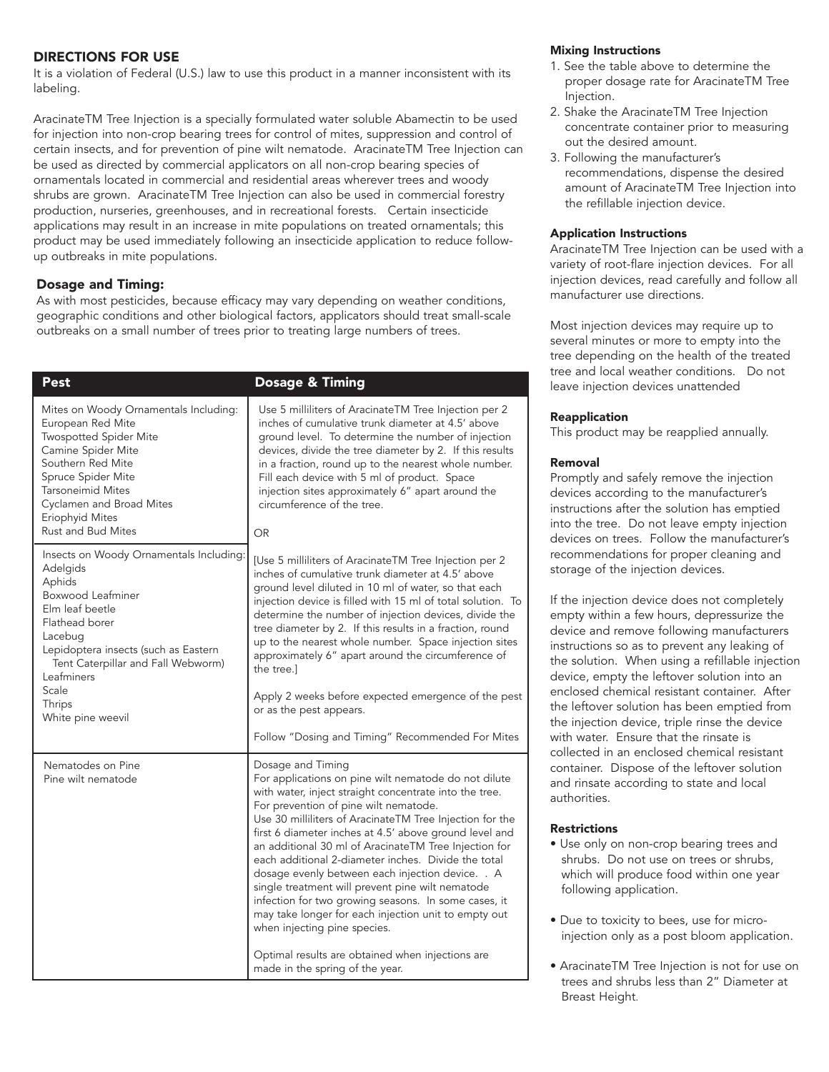# DIRECTIONS FOR USE

It is a violation of Federal (U.S.) law to use this product in a manner inconsistent with its labeling.

AracinateTM Tree Injection is a specially formulated water soluble Abamectin to be used for injection into non-crop bearing trees for control of mites, suppression and control of certain insects, and for prevention of pine wilt nematode. AracinateTM Tree Injection can be used as directed by commercial applicators on all non-crop bearing species of ornamentals located in commercial and residential areas wherever trees and woody shrubs are grown. AracinateTM Tree Injection can also be used in commercial forestry production, nurseries, greenhouses, and in recreational forests. Certain insecticide applications may result in an increase in mite populations on treated ornamentals; this product may be used immediately following an insecticide application to reduce followup outbreaks in mite populations.

## Dosage and Timing:

As with most pesticides, because efficacy may vary depending on weather conditions, geographic conditions and other biological factors, applicators should treat small-scale outbreaks on a small number of trees prior to treating large numbers of trees.

| <b>Pest</b>                                                                                                                                                                                                                                                            | <b>Dosage &amp; Timing</b>                                                                                                                                                                                                                                                                                                                                                                                                                                                                                                                                                                                                                                                                                                                                        |
|------------------------------------------------------------------------------------------------------------------------------------------------------------------------------------------------------------------------------------------------------------------------|-------------------------------------------------------------------------------------------------------------------------------------------------------------------------------------------------------------------------------------------------------------------------------------------------------------------------------------------------------------------------------------------------------------------------------------------------------------------------------------------------------------------------------------------------------------------------------------------------------------------------------------------------------------------------------------------------------------------------------------------------------------------|
| Mites on Woody Ornamentals Including:<br>European Red Mite<br><b>Twospotted Spider Mite</b><br>Camine Spider Mite<br>Southern Red Mite<br>Spruce Spider Mite<br><b>Tarsoneimid Mites</b><br>Cyclamen and Broad Mites<br>Eriophyid Mites<br>Rust and Bud Mites          | Use 5 milliliters of AracinateTM Tree Injection per 2<br>inches of cumulative trunk diameter at 4.5' above<br>ground level. To determine the number of injection<br>devices, divide the tree diameter by 2. If this results<br>in a fraction, round up to the nearest whole number.<br>Fill each device with 5 ml of product. Space<br>injection sites approximately 6" apart around the<br>circumference of the tree.<br><b>OR</b>                                                                                                                                                                                                                                                                                                                               |
| Insects on Woody Ornamentals Including:<br>Adelgids<br>Aphids<br>Boxwood Leafminer<br>Elm leaf beetle<br>Flathead borer<br>Lacebug<br>Lepidoptera insects (such as Eastern<br>Tent Caterpillar and Fall Webworm)<br>Leafminers<br>Scale<br>Thrips<br>White pine weevil | [Use 5 milliliters of AracinateTM Tree Injection per 2<br>inches of cumulative trunk diameter at 4.5' above<br>ground level diluted in 10 ml of water, so that each<br>injection device is filled with 15 ml of total solution. To<br>determine the number of injection devices, divide the<br>tree diameter by 2. If this results in a fraction, round<br>up to the nearest whole number. Space injection sites<br>approximately 6" apart around the circumference of<br>the tree.]<br>Apply 2 weeks before expected emergence of the pest<br>or as the pest appears.<br>Follow "Dosing and Timing" Recommended For Mites                                                                                                                                        |
| Nematodes on Pine<br>Pine wilt nematode                                                                                                                                                                                                                                | Dosage and Timing<br>For applications on pine wilt nematode do not dilute<br>with water, inject straight concentrate into the tree.<br>For prevention of pine wilt nematode.<br>Use 30 milliliters of AracinateTM Tree Injection for the<br>first 6 diameter inches at 4.5' above ground level and<br>an additional 30 ml of AracinateTM Tree Injection for<br>each additional 2-diameter inches. Divide the total<br>dosage evenly between each injection device. . A<br>single treatment will prevent pine wilt nematode<br>infection for two growing seasons. In some cases, it<br>may take longer for each injection unit to empty out<br>when injecting pine species.<br>Optimal results are obtained when injections are<br>made in the spring of the year. |

## Mixing Instructions

- 1. See the table above to determine the proper dosage rate for AracinateTM Tree Injection.
- 2. Shake the AracinateTM Tree Injection concentrate container prior to measuring out the desired amount.
- 3. Following the manufacturer's recommendations, dispense the desired amount of AracinateTM Tree Injection into the refillable injection device.

## Application Instructions

AracinateTM Tree Injection can be used with a variety of root-flare injection devices. For all injection devices, read carefully and follow all manufacturer use directions.

Most injection devices may require up to several minutes or more to empty into the tree depending on the health of the treated tree and local weather conditions. Do not leave injection devices unattended

## Reapplication

This product may be reapplied annually.

## Removal

Promptly and safely remove the injection devices according to the manufacturer's instructions after the solution has emptied into the tree. Do not leave empty injection devices on trees. Follow the manufacturer's recommendations for proper cleaning and storage of the injection devices.

If the injection device does not completely empty within a few hours, depressurize the device and remove following manufacturers instructions so as to prevent any leaking of the solution. When using a refillable injection device, empty the leftover solution into an enclosed chemical resistant container. After the leftover solution has been emptied from the injection device, triple rinse the device with water. Ensure that the rinsate is collected in an enclosed chemical resistant container. Dispose of the leftover solution and rinsate according to state and local authorities.

## Restrictions

- Use only on non-crop bearing trees and shrubs. Do not use on trees or shrubs, which will produce food within one year following application.
- Due to toxicity to bees, use for microinjection only as a post bloom application.
- AracinateTM Tree Injection is not for use on trees and shrubs less than 2" Diameter at Breast Height.